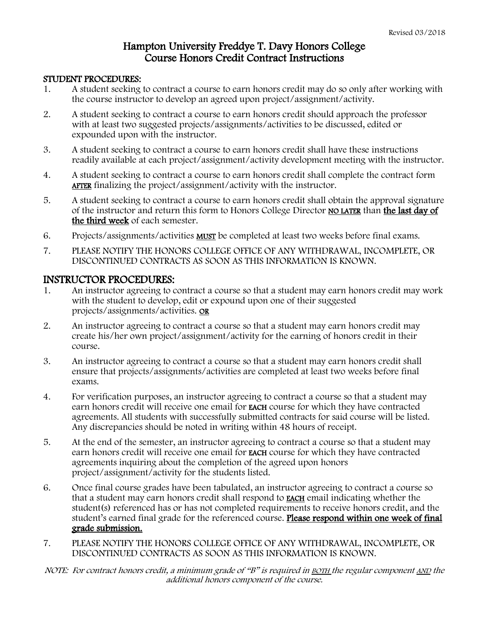## Hampton University Freddye T. Davy Honors College Course Honors Credit Contract Instructions

## STUDENT PROCEDURES:

- 1. A student seeking to contract a course to earn honors credit may do so only after working with the course instructor to develop an agreed upon project/assignment/activity.
- 2. A student seeking to contract a course to earn honors credit should approach the professor with at least two suggested projects/assignments/activities to be discussed, edited or expounded upon with the instructor.
- 3. A student seeking to contract a course to earn honors credit shall have these instructions readily available at each project/assignment/activity development meeting with the instructor.
- 4. A student seeking to contract a course to earn honors credit shall complete the contract form AFTER finalizing the project/assignment/activity with the instructor.
- 5. A student seeking to contract a course to earn honors credit shall obtain the approval signature of the instructor and return this form to Honors College Director NO LATER than the last day of the third week of each semester.
- 6. Projects/assignments/activities MUST be completed at least two weeks before final exams.
- 7. PLEASE NOTIFY THE HONORS COLLEGE OFFICE OF ANY WITHDRAWAL, INCOMPLETE, OR DISCONTINUED CONTRACTS AS SOON AS THIS INFORMATION IS KNOWN.

## INSTRUCTOR PROCEDURES:

- 1. An instructor agreeing to contract a course so that a student may earn honors credit may work with the student to develop, edit or expound upon one of their suggested projects/assignments/activities. OR
- 2. An instructor agreeing to contract a course so that a student may earn honors credit may create his/her own project/assignment/activity for the earning of honors credit in their course.
- 3. An instructor agreeing to contract a course so that a student may earn honors credit shall ensure that projects/assignments/activities are completed at least two weeks before final exams.
- 4. For verification purposes, an instructor agreeing to contract a course so that a student may earn honors credit will receive one email for EACH course for which they have contracted agreements. All students with successfully submitted contracts for said course will be listed. Any discrepancies should be noted in writing within 48 hours of receipt.
- 5. At the end of the semester, an instructor agreeing to contract a course so that a student may earn honors credit will receive one email for EACH course for which they have contracted agreements inquiring about the completion of the agreed upon honors project/assignment/activity for the students listed.
- 6. Once final course grades have been tabulated, an instructor agreeing to contract a course so that a student may earn honors credit shall respond to EACH email indicating whether the student(s) referenced has or has not completed requirements to receive honors credit, and the student's earned final grade for the referenced course. Please respond within one week of final grade submission.
- 7. PLEASE NOTIFY THE HONORS COLLEGE OFFICE OF ANY WITHDRAWAL, INCOMPLETE, OR DISCONTINUED CONTRACTS AS SOON AS THIS INFORMATION IS KNOWN.
- NOTE: For contract honors credit, a minimum grade of "B" is required in BOTH the regular component AND the additional honors component of the course.